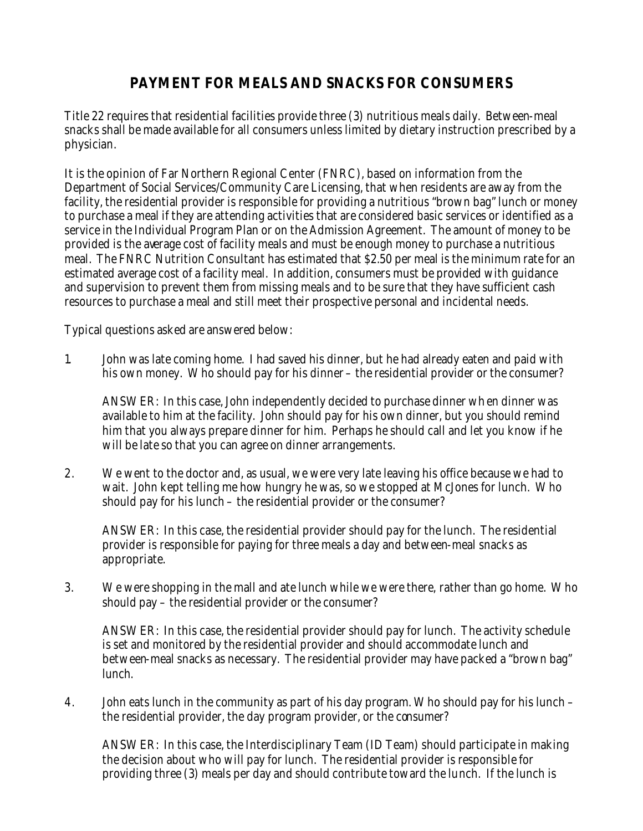## **PAYMENT FOR MEALS AND SNACKS FOR CONSUMERS**

Title 22 requires that residential facilities provide three (3) nutritious meals daily. Between-meal snacks shall be made available for all consumers unless limited by dietary instruction prescribed by a physician.

It is the opinion of Far Northern Regional Center (FNRC), based on information from the Department of Social Services/Community Care Licensing, that when residents are away from the facility, the residential provider is responsible for providing a nutritious "brown bag" lunch or money to purchase a meal if they are attending activities that are considered basic services or identified as a service in the Individual Program Plan or on the Admission Agreement. The amount of money to be provided is the average cost of facility meals and must be enough money to purchase a nutritious meal. The FNRC Nutrition Consultant has estimated that \$2.50 per meal is the minimum rate for an estimated average cost of a facility meal. In addition, consumers must be provided with guidance and supervision to prevent them from missing meals and to be sure that they have sufficient cash resources to purchase a meal and still meet their prospective personal and incidental needs.

Typical questions asked are answered below:

1. John was late coming home. I had saved his dinner, but he had already eaten and paid with his own money. Who should pay for his dinner – the residential provider or the consumer?

ANSWER: In this case, John independently decided to purchase dinner when dinner was available to him at the facility. John should pay for his own dinner, but you should remind him that you always prepare dinner for him. Perhaps he should call and let you know if he will be late so that you can agree on dinner arrangements.

2. We went to the doctor and, as usual, we were very late leaving his office because we had to wait. John kept telling me how hungry he was, so we stopped at McJones for lunch. Who should pay for his lunch – the residential provider or the consumer?

ANSWER: In this case, the residential provider should pay for the lunch. The residential provider is responsible for paying for three meals a day and between-meal snacks as appropriate.

3. We were shopping in the mall and ate lunch while we were there, rather than go home. Who should pay – the residential provider or the consumer?

ANSWER: In this case, the residential provider should pay for lunch. The activity schedule is set and monitored by the residential provider and should accommodate lunch and between-meal snacks as necessary. The residential provider may have packed a "brown bag" lunch.

4. John eats lunch in the community as part of his day program. Who should pay for his lunch – the residential provider, the day program provider, or the consumer?

ANSWER: In this case, the Interdisciplinary Team (ID Team) should participate in making the decision about who will pay for lunch. The residential provider is responsible for providing three (3) meals per day and should contribute toward the lunch. If the lunch is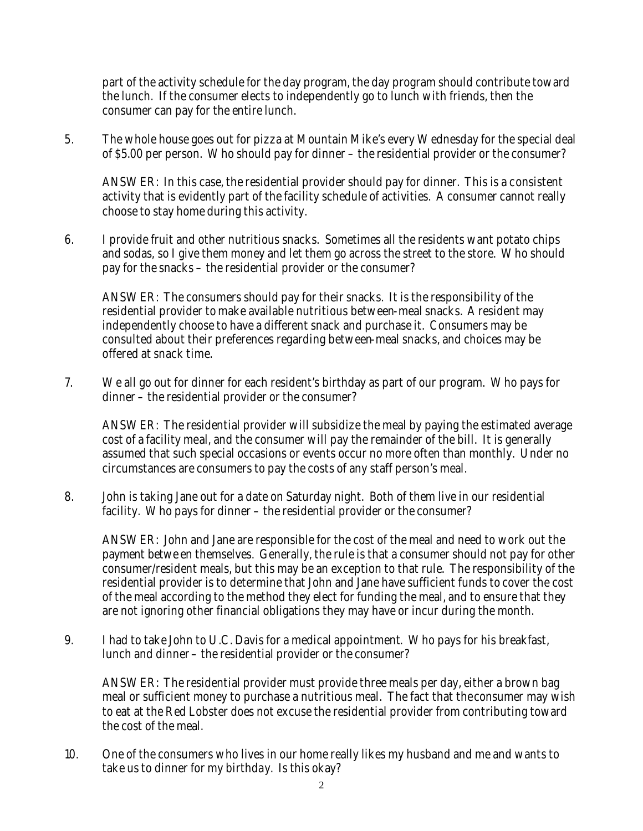part of the activity schedule for the day program, the day program should contribute toward the lunch. If the consumer elects to independently go to lunch with friends, then the consumer can pay for the entire lunch.

5. The whole house goes out for pizza at Mountain Mike's every Wednesday for the special deal of \$5.00 per person. Who should pay for dinner – the residential provider or the consumer?

ANSWER: In this case, the residential provider should pay for dinner. This is a consistent activity that is evidently part of the facility schedule of activities. A consumer cannot really choose to stay home during this activity.

6. I provide fruit and other nutritious snacks. Sometimes all the residents want potato chips and sodas, so I give them money and let them go across the street to the store. Who should pay for the snacks – the residential provider or the consumer?

ANSWER: The consumers should pay for their snacks. It is the responsibility of the residential provider to make available nutritious between-meal snacks. A resident may independently choose to have a different snack and purchase it. Consumers may be consulted about their preferences regarding between-meal snacks, and choices may be offered at snack time.

7. We all go out for dinner for each resident's birthday as part of our program. Who pays for dinner – the residential provider or the consumer?

ANSWER: The residential provider will subsidize the meal by paying the estimated average cost of a facility meal, and the consumer will pay the remainder of the bill. It is generally assumed that such special occasions or events occur no more often than monthly. Under no circumstances are consumers to pay the costs of any staff person's meal.

8. John is taking Jane out for a date on Saturday night. Both of them live in our residential facility. Who pays for dinner – the residential provider or the consumer?

ANSWER: John and Jane are responsible for the cost of the meal and need to work out the payment betwe en themselves. Generally, the rule is that a consumer should not pay for other consumer/resident meals, but this may be an exception to that rule. The responsibility of the residential provider is to determine that John and Jane have sufficient funds to cover the cost of the meal according to the method they elect for funding the meal, and to ensure that they are not ignoring other financial obligations they may have or incur during the month.

9. I had to take John to U.C. Davis for a medical appointment. Who pays for his breakfast, lunch and dinner – the residential provider or the consumer?

ANSWER: The residential provider must provide three meals per day, either a brown bag meal or sufficient money to purchase a nutritious meal. The fact that the consumer may wish to eat at the Red Lobster does not excuse the residential provider from contributing toward the cost of the meal.

10. One of the consumers who lives in our home really likes my husband and me and wants to take us to dinner for my birthday. Is this okay?